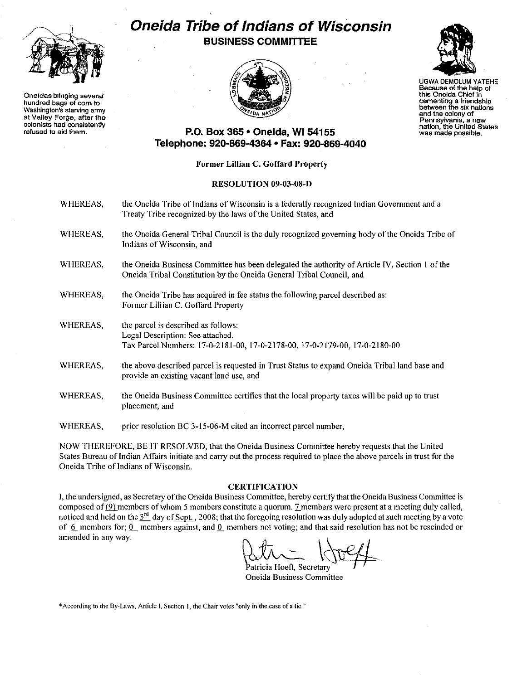

**Oneidas bringing several hundred bags of corn to Washington's starving army at Valley Forge, after the colonists had consistently refused to aid them.**

# **Oneida Tribe of Indians of Wisconsin BUSINESS COMMITTEE**



 $\mathbb{Z}$ UGWA DEMOLUM YATEHE

**Because of the help of this OneIda ChIef in cementing a friendship between the six nations and the colony of Pennsylvania, a new nation, the United States was made possible.**

### **P.O. Box 365· Oneida,** WI 54155 **Telephone: 920-869-4364 • Fax: 920-869-4040**

### **Former Lillian C. Goffard Property**

#### **RESOLUTION** 09-03-08-D

- WHEREAS, the Oneida Tribe of Indians of Wisconsin is a federally recognized Indian Government and a Treaty Tribe recognized by the laws of the United States, and
- WHEREAS, the Oneida General Tribal Council is the duly recognized governing body ofthe Oneida Tribe of **Indians** of Wisconsin, **and**
- WHEREAS, the Oneida Business Committee has been delegated the authority of Article IV, Section I ofthe Oneida Tribal Constitution by the Oneida General Tribal Council, and
- WHEREAS, the Oneida Tribe has acquired in fee status the following parcel described as: Fonner Lillian C. Goffard Property
- WHEREAS, the parcel is described as follows: Legal Description: See attached. Tax Parcel Numbers: 17-0-2181-00, 17-0-2178-00, 17-0-2179-00, 17-0-2180-00
- WHEREAS, the above described parcel is requested in Trust Status to expand Oneida Tribal land base and provide an existing vacant land use, and
- WHEREAS, the Oneida Business Committee certifies that the local property taxes will be paid up to trust **placement, and**
- WHEREAS, prior resolution BC 3-15-06-M cited an incorrect parcel number,

NOW THEREFORE, BE IT RESOLVED, that the Oneida Business Committee hereby requests that the United States Bureau of Indian Affairs initiate and carry out the process required to place the above parcels in trust for the Oneida Tribe of Indians of Wisconsin.

#### **CERTIFICATION**

of 6 members for; 0 members against, and 0 members not voting; and that said resolution has not be rescinded or<br>amended in any way.<br>attricia Hoeft, Secretary I, the undersigned, as Secretary ofthe Oneida Business Committee, hereby certify that the Oneida Business Committee is composed of  $(9)$  members of whom 5 members constitute a quorum. 7 members were present at a meeting duly called, noticed and held on the  $3^{rd}$  day of Sept., 2008; that the foregoing resolution was duly adopted at such meeting by a vote amended in any way.

**Oneida Business Committee**

**\*Accordingto the** By-Laws, **Article**I, **Section 1, theChairvotes "only in the case of a tic."**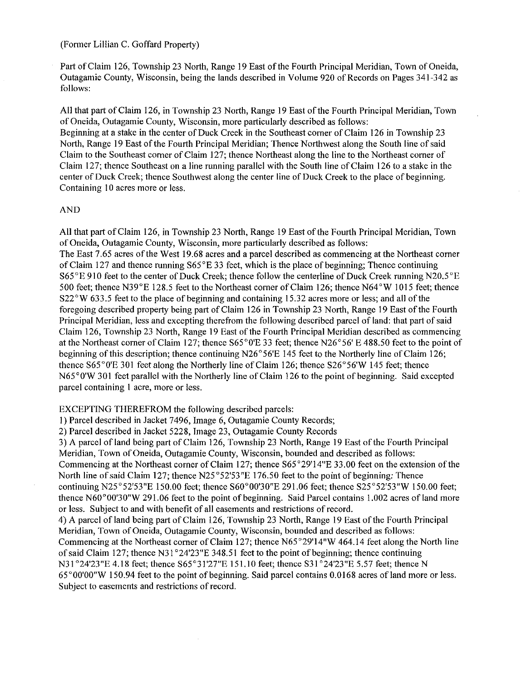(Former Lillian C. Goffard Property)

Part of Claim 126, Township 23 North, Range 19 East of the Fourth Principal Meridian, Town of Oneida, Outagamie County, Wisconsin, being the lands described in Volume 920 of Records on Pages 341-342 as follows:

All that part of Claim 126, in Township 23 North, Range 19 East of the Fourth Principal Meridian, Town of Oneida, Outagamie County, Wisconsin, more particularly described as follows:

Beginning at a stake in the center of Duck Creek in the Southeast comer of Claim 126 in Township 23 North, Range 19 East of the Fourth Principal Meridian; Thence Northwest along the South line of said Claim to the Southeast corner ofClaim 127; thence Northeast along the line to the Northeast corner of Claim 127; thence Southeast on a line running parallel with the South line ofClaim 126 to a stake in the center of Duck Creek; thence Southwest along the center line of Duck Creek to the place of beginning. Containing 10 acres more or less.

#### AND

All that part of Claim 126, in Township 23 North, Range 19 East of the Fourth Principal Meridian, Town of Oneida, Outagamie County, Wisconsin, more particularly described as follows: The East 7.65 acres ofthe West 19.68 acres and a parcel described as commencing at the Northeast corner of Claim 127 and thence running  $S65^{\circ}E33$  feet, which is the place of beginning; Thence continuing S65°E 910 feet to the center of Duck Creek; thence follow the centerline of Duck Creek running N20.5"E 500 feet; thence N39°E 128.5 feet to the Northeast corner of Claim 126; thence N64°W 1015 feet; thence  $S22<sup>°</sup>W 633.5$  feet to the place of beginning and containing 15.32 acres more or less; and all of the foregoing described property being part of Claim 126 in Township 23 North, Range 19 East of the Fourth Principal Meridian, less and excepting therefrom the following described parcel of land: that part of said Claim 126, Township 23 North, Range 19 East of the Fourth Principal Meridian described as commencing at the Northeast corner of Claim 127; thence S65°0'E 33 feet; thence N26°56' E 488.50 feet to the point of beginning of this description; thence continuing N26°56'E 145 feet to the Northerly line of Claim 126; thence S65°0'E 301 feet along the Northerly line of Claim 126; thence S26"56'W 145 feet; thence N65°0'W 301 feet parallel with the Northerly line of Claim 126 to the point of beginning. Said excepted parcel containing I acre, more or less.

EXCEPTING THEREFROM the following described parcels:

I) Parcel described in Jacket 7496, Image 6, Outagamie County Records;

2) Parcel described in Jacket 5228, Image 23, Outagamie County Records

3) A parcel ofland being part of Claim 126, Township 23 North, Range 19 East ofthe Fourth Principal Meridian, Town of Oneida, Outagamie County, Wisconsin, bounded and described as follows: Commencing at the Northeast corner of Claim 127; thence S65°29'14"E 33.00 feet on the extension ofthe North line of said Claim 127; thence N25°52'53"E 176.50 feet to the point of beginning: Thence continuing N25 $\degree$ 52'53"E 150.00 feet; thence S60 $\degree$ 00'30"E 291.06 feet; thence S25 $\degree$ 52'53"W 150.00 feet; thence N60°00'30"W 291.06 feet to the point of beginning. Said Parcel contains 1.002 acres of land more or less. Subject to and with benefit of all easements and restrictions of record. 4) A parcel ofland being part ofClaim 126, Township 23 North, Range 19 East ofthe Fourth Principal Meridian, Town of Oneida, Outagamie County, Wisconsin, bounded and described as follows: Commencing at the Northeast corner of Claim 127; thence N65°29'14"W 464.14 feet along the North line of said Claim 127; thence N31 $^{\circ}$ 24'23"E 348.51 feet to the point of beginning; thence continuing N31 °24'23"E 4.18 feet; thence S65°31'27"E 151.10 feet; thence S31 °24'23"E 5.57 feet; thence N 65°00'00"W 150.94 feet to the point of beginning. Said parcel contains 0.0168 acres ofland more or less. Subject to easements and restrictions of record.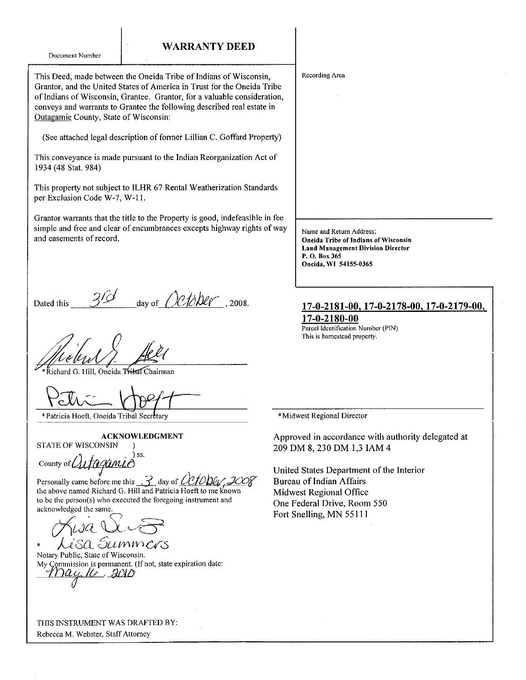| Document Number |  |
|-----------------|--|
|                 |  |

#### **WARRANTY DEED**

This Deed, made between the Oneida Tribe of Indians of Wisconsin, Grantor, and the United States of America in Trust for the Oneida Tribe **ofIndians of Wisconsin, Grantee. Grantor, for a valuable consideration,** conveys and warrants to Grantee the following described real estate in Outagamie County, State of Wisconsin:

(See attached legal description of former Lillian C. Goffard Property)

**This conveyance is made pursuant to the Indian Reorganization Act of** 1934 (48 Stat. 984)

This property not subject to ILHR 67 Rental Weatherization Standards per Exclusion Code W-7, W-I 1.

Grantor warrants that the title to the Property is good, indefeasible in fee simple and free and clear of encumbrances excepts highway rights of way **and easements** of record.

day of  $Ochber$ , 2008. Dated this

hard G. Hill, Oneida Tribal Chairman

 $P$ cth $=$  $VU^2$ \_\_

\* Patricia Hoeft, Oneida Tribal Secrétary

#### ACKNOWLEDGMENT

STATE OF WISCONSIN )

 $\bigwedge_{f \in \mathcal{F} \cap \mathcal{S}} f$  iss. County of  $\mathcal{U}$ *JQQUNLC* 

Personally came before me this  $\frac{3}{\sqrt{2}}$  day of  $\frac{\ell\ell\ell}{\ell\ell}$ the above named Richard G. Hill and Patricia Hoeft to me known **to be the person(s)who executed the foregoing instrument and acknowledged the same.**

c7fw;<- *U.vE?* Lisa Summars

**Notary Public, State of Wisconsin. My Commission is permanent.** (If not, state expiration date: *-rrvu. it>* --Bf)JL) *o*

| THIS INSTRUMENT WAS DRAFTED BY: |  |  |
|---------------------------------|--|--|

**Rebecca M. Webster, StaffAttorney**

**Recording Area**

Name and Return Address: **Oneida Tribe** of Indians of Wiseonsin **Land Management Division Director P. O. Box 365 Oneida, WI** 54155~0365

#### **17-0-2181-00.17-0-2178-00,17-0-2179-00, 17-0-2180-00**

**Parcel Identification Number(PIN) This is homestead property.**

\*Midwest **Regional Director**

Approved in accordance with authority delegated at 209 DM 8, 230 DM 1,3 lAM 4

United States Department of the Interior Bureau of Indian Affairs Midwest Regional Office One Federal Drive, Room 550 Fort Snelling, MN 55111